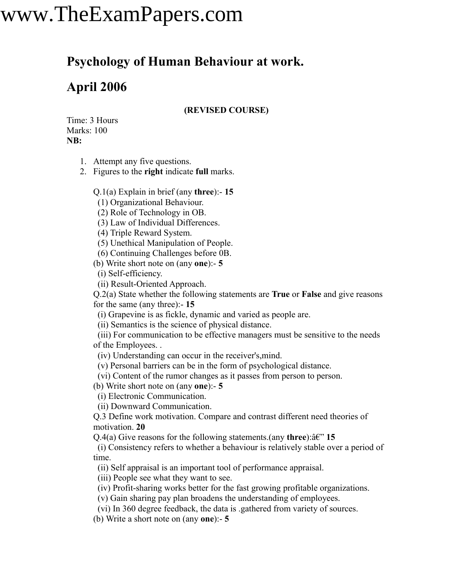# www.TheExamPapers.com

### **Psychology of Human Behaviour at work.**

### **April 2006**

#### **(REVISED COURSE)**

Time: 3 Hours Marks: 100 **NB:**

1. Attempt any five questions.

2. Figures to the **right** indicate **full** marks.

Q.1(a) Explain in brief (any **three**):- **15**

(1) Organizational Behaviour.

(2) Role of Technology in OB.

(3) Law of Individual Differences.

(4) Triple Reward System.

(5) Unethical Manipulation of People.

(6) Continuing Challenges before 0B.

(b) Write short note on (any **one**):- **5**

(i) Self-efficiency.

(ii) Result-Oriented Approach.

Q.2(a) State whether the following statements are **True** or **False** and give reasons for the same (any three):- **15**

(i) Grapevine is as fickle, dynamic and varied as people are.

(ii) Semantics is the science of physical distance.

(iii) For communication to be effective managers must be sensitive to the needs of the Employees. .

(iv) Understanding can occur in the receiver's,mind.

(v) Personal barriers can be in the form of psychological distance.

(vi) Content of the rumor changes as it passes from person to person.

(b) Write short note on (any **one**):- **5**

(i) Electronic Communication.

(ii) Downward Communication.

Q.3 Define work motivation. Compare and contrast different need theories of motivation. **20**

 $Q.4(a)$  Give reasons for the following statements.(any **three**): $\hat{a}\hat{\epsilon}$ " **15** 

(i) Consistency refers to whether a behaviour is relatively stable over a period of time.

(ii) Self appraisal is an important tool of performance appraisal.

(iii) People see what they want to see.

(iv) Profit-sharing works better for the fast growing profitable organizations.

(v) Gain sharing pay plan broadens the understanding of employees.

(vi) In 360 degree feedback, the data is .gathered from variety of sources.

(b) Write a short note on (any **one**):- **5**